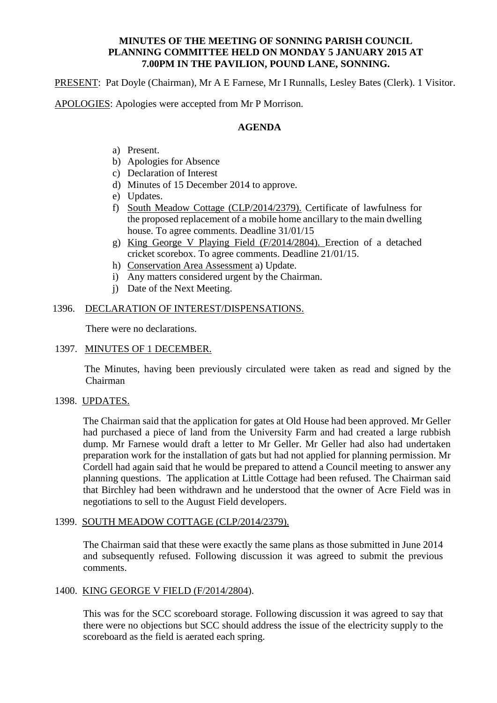#### **MINUTES OF THE MEETING OF SONNING PARISH COUNCIL PLANNING COMMITTEE HELD ON MONDAY 5 JANUARY 2015 AT 7.00PM IN THE PAVILION, POUND LANE, SONNING.**

PRESENT: Pat Doyle (Chairman), Mr A E Farnese, Mr I Runnalls, Lesley Bates (Clerk). 1 Visitor.

APOLOGIES: Apologies were accepted from Mr P Morrison.

# **AGENDA**

- a) Present.
- b) Apologies for Absence
- c) Declaration of Interest
- d) Minutes of 15 December 2014 to approve.
- e) Updates.
- f) South Meadow Cottage (CLP/2014/2379). Certificate of lawfulness for the proposed replacement of a mobile home ancillary to the main dwelling house. To agree comments. Deadline 31/01/15
- g) King George V Playing Field (F/2014/2804). Erection of a detached cricket scorebox. To agree comments. Deadline 21/01/15.
- h) Conservation Area Assessment a) Update.
- i) Any matters considered urgent by the Chairman.
- j) Date of the Next Meeting.

## 1396. DECLARATION OF INTEREST/DISPENSATIONS.

There were no declarations.

#### 1397. MINUTES OF 1 DECEMBER.

 The Minutes, having been previously circulated were taken as read and signed by the Chairman

#### 1398. UPDATES.

The Chairman said that the application for gates at Old House had been approved. Mr Geller had purchased a piece of land from the University Farm and had created a large rubbish dump. Mr Farnese would draft a letter to Mr Geller. Mr Geller had also had undertaken preparation work for the installation of gats but had not applied for planning permission. Mr Cordell had again said that he would be prepared to attend a Council meeting to answer any planning questions. The application at Little Cottage had been refused. The Chairman said that Birchley had been withdrawn and he understood that the owner of Acre Field was in negotiations to sell to the August Field developers.

#### 1399. SOUTH MEADOW COTTAGE (CLP/2014/2379).

The Chairman said that these were exactly the same plans as those submitted in June 2014 and subsequently refused. Following discussion it was agreed to submit the previous comments.

#### 1400. KING GEORGE V FIELD (F/2014/2804).

This was for the SCC scoreboard storage. Following discussion it was agreed to say that there were no objections but SCC should address the issue of the electricity supply to the scoreboard as the field is aerated each spring.